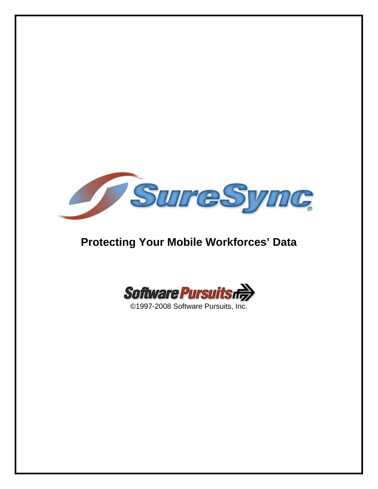

# **Protecting Your Mobile Workforces' Data**



©1997-2008 Software Pursuits, Inc.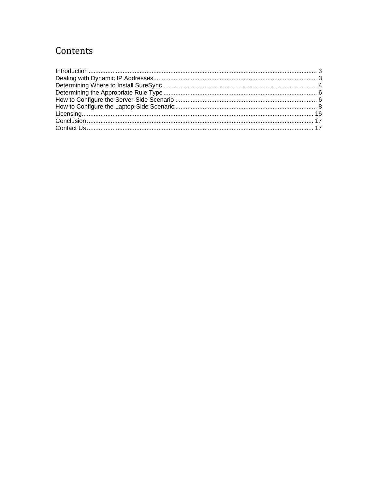# Contents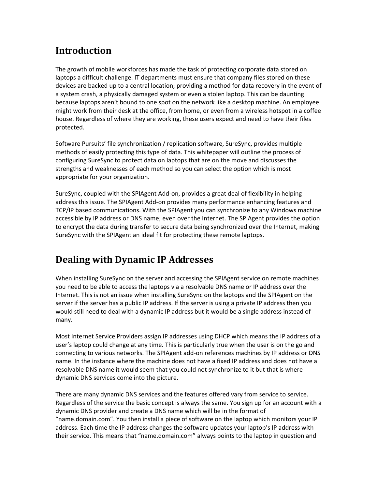# <span id="page-2-0"></span>**Introduction**

The growth of mobile workforces has made the task of protecting corporate data stored on laptops a difficult challenge. IT departments must ensure that company files stored on these devices are backed up to a central location; providing a method for data recovery in the event of a system crash, a physically damaged system or even a stolen laptop. This can be daunting because laptops aren't bound to one spot on the network like a desktop machine. An employee might work from their desk at the office, from home, or even from a wireless hotspot in a coffee house. Regardless of where they are working, these users expect and need to have their files protected.

Software Pursuits' file synchronization / replication software, SureSync, provides multiple methods of easily protecting this type of data. This whitepaper will outline the process of configuring SureSync to protect data on laptops that are on the move and discusses the strengths and weaknesses of each method so you can select the option which is most appropriate for your organization.

SureSync, coupled with the SPIAgent Add‐on, provides a great deal of flexibility in helping address this issue. The SPIAgent Add‐on provides many performance enhancing features and TCP/IP based communications. With the SPIAgent you can synchronize to any Windows machine accessible by IP address or DNS name; even over the Internet. The SPIAgent provides the option to encrypt the data during transfer to secure data being synchronized over the Internet, making SureSync with the SPIAgent an ideal fit for protecting these remote laptops.

# **Dealing with Dynamic IP Addresses**

When installing SureSync on the server and accessing the SPIAgent service on remote machines you need to be able to access the laptops via a resolvable DNS name or IP address over the Internet. This is not an issue when installing SureSync on the laptops and the SPIAgent on the server if the server has a public IP address. If the server is using a private IP address then you would still need to deal with a dynamic IP address but it would be a single address instead of many.

Most Internet Service Providers assign IP addresses using DHCP which means the IP address of a user's laptop could change at any time. This is particularly true when the user is on the go and connecting to various networks. The SPIAgent add‐on references machines by IP address or DNS name. In the instance where the machine does not have a fixed IP address and does not have a resolvable DNS name it would seem that you could not synchronize to it but that is where dynamic DNS services come into the picture.

There are many dynamic DNS services and the features offered vary from service to service. Regardless of the service the basic concept is always the same. You sign up for an account with a dynamic DNS provider and create a DNS name which will be in the format of "name.domain.com". You then install a piece of software on the laptop which monitors your IP address. Each time the IP address changes the software updates your laptop's IP address with their service. This means that "name.domain.com" always points to the laptop in question and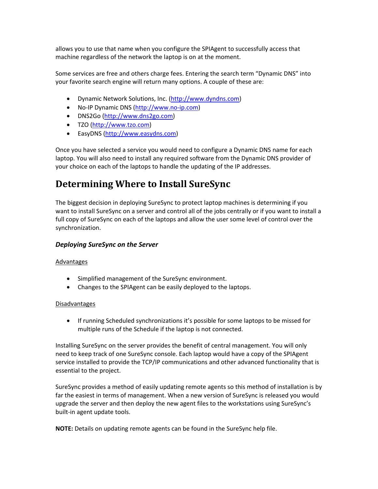<span id="page-3-0"></span>allows you to use that name when you configure the SPIAgent to successfully access that machine regardless of the network the laptop is on at the moment.

Some services are free and others charge fees. Entering the search term "Dynamic DNS" into your favorite search engine will return many options. A couple of these are:

- Dynamic Network Solutions, Inc. ([http://www.dyndns.com\)](http://www.dyndns.com/)
- No‐IP Dynamic DNS [\(http://www.no](http://www.no-ip.com/)‐ip.com)
- DNS2Go [\(http://www.dns2go.com](http://www.dns2go.com/))
- TZO ([http://www.tzo.com](http://www.tzo.com/))
- EasyDNS ([http://www.easydns.com](http://www.easydns.com/))

Once you have selected a service you would need to configure a Dynamic DNS name for each laptop. You will also need to install any required software from the Dynamic DNS provider of your choice on each of the laptops to handle the updating of the IP addresses.

# **Determining Where to Install SureSync**

The biggest decision in deploying SureSync to protect laptop machines is determining if you want to install SureSync on a server and control all of the jobs centrally or if you want to install a full copy of SureSync on each of the laptops and allow the user some level of control over the synchronization.

# *Deploying SureSync on the Server*

## Advantages

- Simplified management of the SureSync environment.
- Changes to the SPIAgent can be easily deployed to the laptops.

## Disadvantages

• If running Scheduled synchronizations it's possible for some laptops to be missed for multiple runs of the Schedule if the laptop is not connected.

Installing SureSync on the server provides the benefit of central management. You will only need to keep track of one SureSync console. Each laptop would have a copy of the SPIAgent service installed to provide the TCP/IP communications and other advanced functionality that is essential to the project.

SureSync provides a method of easily updating remote agents so this method of installation is by far the easiest in terms of management. When a new version of SureSync is released you would upgrade the server and then deploy the new agent files to the workstations using SureSync's built‐in agent update tools.

**NOTE:** Details on updating remote agents can be found in the SureSync help file.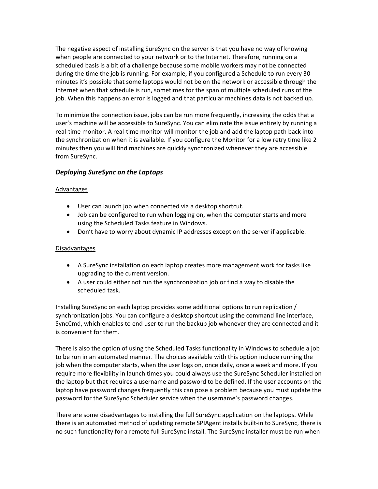The negative aspect of installing SureSync on the server is that you have no way of knowing when people are connected to your network or to the Internet. Therefore, running on a scheduled basis is a bit of a challenge because some mobile workers may not be connected during the time the job is running. For example, if you configured a Schedule to run every 30 minutes it's possible that some laptops would not be on the network or accessible through the Internet when that schedule is run, sometimes for the span of multiple scheduled runs of the job. When this happens an error is logged and that particular machines data is not backed up.

To minimize the connection issue, jobs can be run more frequently, increasing the odds that a user's machine will be accessible to SureSync. You can eliminate the issue entirely by running a real‐time monitor. A real‐time monitor will monitor the job and add the laptop path back into the synchronization when it is available. If you configure the Monitor for a low retry time like 2 minutes then you will find machines are quickly synchronized whenever they are accessible from SureSync.

# *Deploying SureSync on the Laptops*

# Advantages

- User can launch job when connected via a desktop shortcut.
- Job can be configured to run when logging on, when the computer starts and more using the Scheduled Tasks feature in Windows.
- Don't have to worry about dynamic IP addresses except on the server if applicable.

# **Disadvantages**

- A SureSync installation on each laptop creates more management work for tasks like upgrading to the current version.
- A user could either not run the synchronization job or find a way to disable the scheduled task.

Installing SureSync on each laptop provides some additional options to run replication / synchronization jobs. You can configure a desktop shortcut using the command line interface, SyncCmd, which enables to end user to run the backup job whenever they are connected and it is convenient for them.

There is also the option of using the Scheduled Tasks functionality in Windows to schedule a job to be run in an automated manner. The choices available with this option include running the job when the computer starts, when the user logs on, once daily, once a week and more. If you require more flexibility in launch times you could always use the SureSync Scheduler installed on the laptop but that requires a username and password to be defined. If the user accounts on the laptop have password changes frequently this can pose a problem because you must update the password for the SureSync Scheduler service when the username's password changes.

There are some disadvantages to installing the full SureSync application on the laptops. While there is an automated method of updating remote SPIAgent installs built‐in to SureSync, there is no such functionality for a remote full SureSync install. The SureSync installer must be run when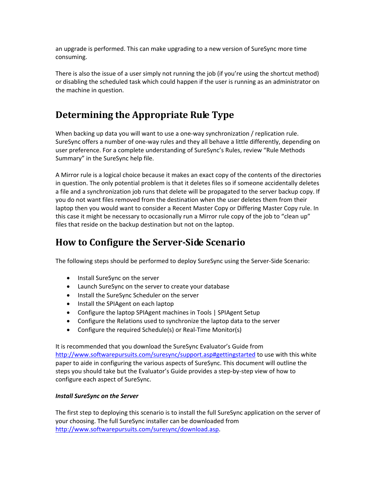<span id="page-5-0"></span>an upgrade is performed. This can make upgrading to a new version of SureSync more time consuming.

There is also the issue of a user simply not running the job (if you're using the shortcut method) or disabling the scheduled task which could happen if the user is running as an administrator on the machine in question.

# **Determining the Appropriate Rule Type**

When backing up data you will want to use a one-way synchronization / replication rule. SureSync offers a number of one‐way rules and they all behave a little differently, depending on user preference. For a complete understanding of SureSync's Rules, review "Rule Methods Summary" in the SureSync help file.

A Mirror rule is a logical choice because it makes an exact copy of the contents of the directories in question. The only potential problem is that it deletes files so if someone accidentally deletes a file and a synchronization job runs that delete will be propagated to the server backup copy. If you do not want files removed from the destination when the user deletes them from their laptop then you would want to consider a Recent Master Copy or Differing Master Copy rule. In this case it might be necessary to occasionally run a Mirror rule copy of the job to "clean up" files that reside on the backup destination but not on the laptop.

# **How to Configure the ServerSide Scenario**

The following steps should be performed to deploy SureSync using the Server‐Side Scenario:

- Install SureSync on the server
- Launch SureSync on the server to create your database
- Install the SureSync Scheduler on the server
- Install the SPIAgent on each laptop
- Configure the laptop SPIAgent machines in Tools | SPIAgent Setup
- Configure the Relations used to synchronize the laptop data to the server
- Configure the required Schedule(s) or Real-Time Monitor(s)

It is recommended that you download the SureSync Evaluator's Guide from <http://www.softwarepursuits.com/suresync/support.asp#gettingstarted> to use with this white paper to aide in configuring the various aspects of SureSync. This document will outline the steps you should take but the Evaluator's Guide provides a step‐by‐step view of how to configure each aspect of SureSync.

## *Install SureSync on the Server*

The first step to deploying this scenario is to install the full SureSync application on the server of your choosing. The full SureSync installer can be downloaded from [http://www.softwarepursuits.com/suresync/download.asp.](http://www.softwarepursuits.com/suresync/download.asp)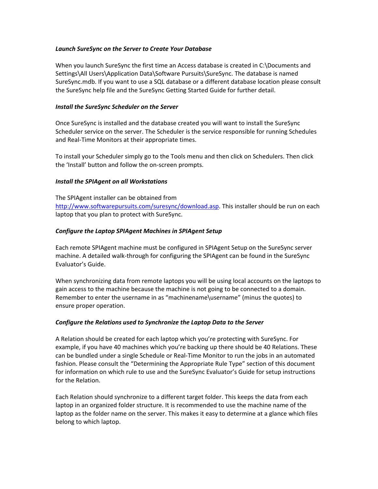#### *Launch SureSync on the Server to Create Your Database*

When you launch SureSync the first time an Access database is created in C:\Documents and Settings\All Users\Application Data\Software Pursuits\SureSync. The database is named SureSync.mdb. If you want to use a SQL database or a different database location please consult the SureSync help file and the SureSync Getting Started Guide for further detail.

#### *Install the SureSync Scheduler on the Server*

Once SureSync is installed and the database created you will want to install the SureSync Scheduler service on the server. The Scheduler is the service responsible for running Schedules and Real‐Time Monitors at their appropriate times.

To install your Scheduler simply go to the Tools menu and then click on Schedulers. Then click the 'Install' button and follow the on‐screen prompts.

## *Install the SPIAgent on all Workstations*

The SPIAgent installer can be obtained from [http://www.softwarepursuits.com/suresync/download.asp.](http://www.softwarepursuits.com/suresync/download.asp) This installer should be run on each laptop that you plan to protect with SureSync.

## *Configure the Laptop SPIAgent Machines in SPIAgent Setup*

Each remote SPIAgent machine must be configured in SPIAgent Setup on the SureSync server machine. A detailed walk‐through for configuring the SPIAgent can be found in the SureSync Evaluator's Guide.

When synchronizing data from remote laptops you will be using local accounts on the laptops to gain access to the machine because the machine is not going to be connected to a domain. Remember to enter the username in as "machinename\username" (minus the quotes) to ensure proper operation.

## *Configure the Relations used to Synchronize the Laptop Data to the Server*

A Relation should be created for each laptop which you're protecting with SureSync. For example, if you have 40 machines which you're backing up there should be 40 Relations. These can be bundled under a single Schedule or Real‐Time Monitor to run the jobs in an automated fashion. Please consult the "Determining the Appropriate Rule Type" section of this document for information on which rule to use and the SureSync Evaluator's Guide for setup instructions for the Relation.

Each Relation should synchronize to a different target folder. This keeps the data from each laptop in an organized folder structure. It is recommended to use the machine name of the laptop as the folder name on the server. This makes it easy to determine at a glance which files belong to which laptop.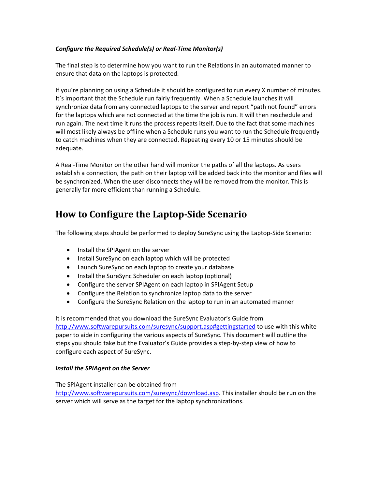# <span id="page-7-0"></span>*Configure the Required Schedule(s) or Real‐Time Monitor(s)*

The final step is to determine how you want to run the Relations in an automated manner to ensure that data on the laptops is protected.

If you're planning on using a Schedule it should be configured to run every X number of minutes. It's important that the Schedule run fairly frequently. When a Schedule launches it will synchronize data from any connected laptops to the server and report "path not found" errors for the laptops which are not connected at the time the job is run. It will then reschedule and run again. The next time it runs the process repeats itself. Due to the fact that some machines will most likely always be offline when a Schedule runs you want to run the Schedule frequently to catch machines when they are connected. Repeating every 10 or 15 minutes should be adequate.

A Real‐Time Monitor on the other hand will monitor the paths of all the laptops. As users establish a connection, the path on their laptop will be added back into the monitor and files will be synchronized. When the user disconnects they will be removed from the monitor. This is generally far more efficient than running a Schedule.

# **How to Configure the LaptopSide Scenario**

The following steps should be performed to deploy SureSync using the Laptop‐Side Scenario:

- Install the SPIAgent on the server
- Install SureSync on each laptop which will be protected
- Launch SureSync on each laptop to create your database
- Install the SureSync Scheduler on each laptop (optional)
- Configure the server SPIAgent on each laptop in SPIAgent Setup
- Configure the Relation to synchronize laptop data to the server
- Configure the SureSync Relation on the laptop to run in an automated manner

It is recommended that you download the SureSync Evaluator's Guide from <http://www.softwarepursuits.com/suresync/support.asp#gettingstarted> to use with this white paper to aide in configuring the various aspects of SureSync. This document will outline the steps you should take but the Evaluator's Guide provides a step‐by‐step view of how to configure each aspect of SureSync.

## *Install the SPIAgent on the Server*

The SPIAgent installer can be obtained from [http://www.softwarepursuits.com/suresync/download.asp.](http://www.softwarepursuits.com/suresync/download.asp) This installer should be run on the server which will serve as the target for the laptop synchronizations.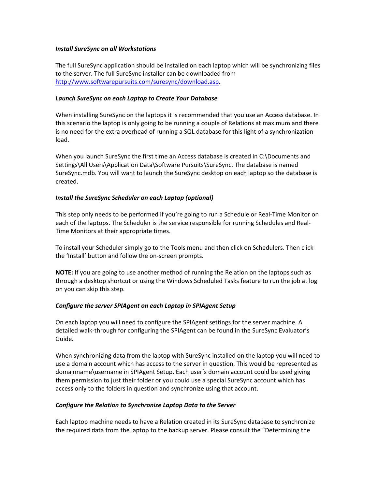#### *Install SureSync on all Workstations*

The full SureSync application should be installed on each laptop which will be synchronizing files to the server. The full SureSync installer can be downloaded from [http://www.softwarepursuits.com/suresync/download.asp.](http://www.softwarepursuits.com/suresync/download.asp)

## *Launch SureSync on each Laptop to Create Your Database*

When installing SureSync on the laptops it is recommended that you use an Access database. In this scenario the laptop is only going to be running a couple of Relations at maximum and there is no need for the extra overhead of running a SQL database for this light of a synchronization load.

When you launch SureSync the first time an Access database is created in C:\Documents and Settings\All Users\Application Data\Software Pursuits\SureSync. The database is named SureSync.mdb. You will want to launch the SureSync desktop on each laptop so the database is created.

## *Install the SureSync Scheduler on each Laptop (optional)*

This step only needs to be performed if you're going to run a Schedule or Real‐Time Monitor on each of the laptops. The Scheduler is the service responsible for running Schedules and Real‐ Time Monitors at their appropriate times.

To install your Scheduler simply go to the Tools menu and then click on Schedulers. Then click the 'Install' button and follow the on‐screen prompts.

**NOTE:** If you are going to use another method of running the Relation on the laptops such as through a desktop shortcut or using the Windows Scheduled Tasks feature to run the job at log on you can skip this step.

## *Configure the server SPIAgent on each Laptop in SPIAgent Setup*

On each laptop you will need to configure the SPIAgent settings for the server machine. A detailed walk‐through for configuring the SPIAgent can be found in the SureSync Evaluator's Guide.

When synchronizing data from the laptop with SureSync installed on the laptop you will need to use a domain account which has access to the server in question. This would be represented as domainname\username in SPIAgent Setup. Each user's domain account could be used giving them permission to just their folder or you could use a special SureSync account which has access only to the folders in question and synchronize using that account.

#### *Configure the Relation to Synchronize Laptop Data to the Server*

Each laptop machine needs to have a Relation created in its SureSync database to synchronize the required data from the laptop to the backup server. Please consult the "Determining the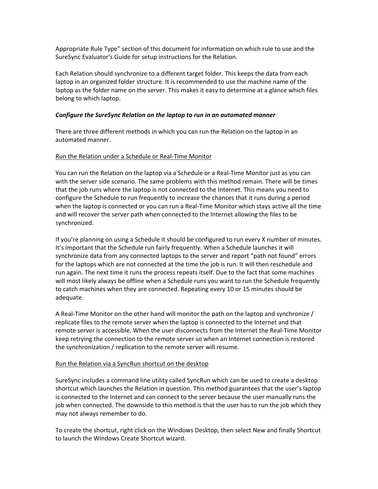Appropriate Rule Type" section of this document for information on which rule to use and the SureSync Evaluator's Guide for setup instructions for the Relation.

Each Relation should synchronize to a different target folder. This keeps the data from each laptop in an organized folder structure. It is recommended to use the machine name of the laptop as the folder name on the server. This makes it easy to determine at a glance which files belong to which laptop.

## *Configure the SureSync Relation on the laptop to run in an automated manner*

There are three different methods in which you can run the Relation on the laptop in an automated manner.

# Run the Relation under a Schedule or Real‐Time Monitor

You can run the Relation on the laptop via a Schedule or a Real‐Time Monitor just as you can with the server side scenario. The same problems with this method remain. There will be times that the job runs where the laptop is not connected to the Internet. This means you need to configure the Schedule to run frequently to increase the chances that it runs during a period when the laptop is connected or you can run a Real-Time Monitor which stays active all the time and will recover the server path when connected to the Internet allowing the files to be synchronized.

If you're planning on using a Schedule it should be configured to run every X number of minutes. It's important that the Schedule run fairly frequently. When a Schedule launches it will synchronize data from any connected laptops to the server and report "path not found" errors for the laptops which are not connected at the time the job is run. It will then reschedule and run again. The next time it runs the process repeats itself. Due to the fact that some machines will most likely always be offline when a Schedule runs you want to run the Schedule frequently to catch machines when they are connected. Repeating every 10 or 15 minutes should be adequate.

A Real-Time Monitor on the other hand will monitor the path on the laptop and synchronize / replicate files to the remote server when the laptop is connected to the Internet and that remote server is accessible. When the user disconnects from the Internet the Real‐Time Monitor keep retrying the connection to the remote server so when an Internet connection is restored the synchronization / replication to the remote server will resume.

## Run the Relation via a SyncRun shortcut on the desktop

SureSync includes a command line utility called SyncRun which can be used to create a desktop shortcut which launches the Relation in question. This method guarantees that the user's laptop is connected to the Internet and can connect to the server because the user manually runs the job when connected. The downside to this method is that the user has to run the job which they may not always remember to do.

To create the shortcut, right click on the Windows Desktop, then select New and finally Shortcut to launch the Windows Create Shortcut wizard.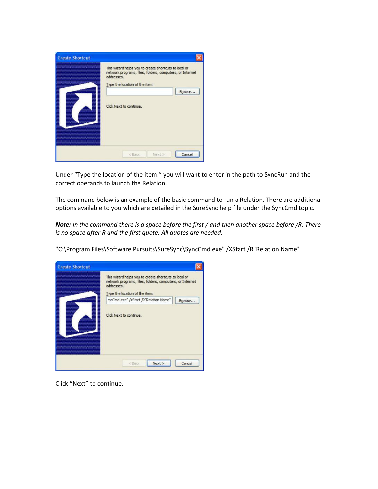| <b>Create Shortcut</b><br><b>MANAHAMPAANAARRAMAA</b><br>www.com/www.com/www.com/<br><b><i>MARAHAMAMARAANAS</i></b> | This wizard helps you to create shortcuts to local or<br>network programs, files, folders, computers, or Internet<br>addresses.<br>Type the location of the item: |
|--------------------------------------------------------------------------------------------------------------------|-------------------------------------------------------------------------------------------------------------------------------------------------------------------|
| maaa                                                                                                               | Browse<br>Click Next to continue.                                                                                                                                 |
| <b><i>MANAHAMAANAANAANAANA</i></b><br><b><i>INVOLVEDIRENCO</i></b>                                                 | Cancel<br><back<br>Next &gt;</back<br>                                                                                                                            |

Under "Type the location of the item:" you will want to enter in the path to SyncRun and the correct operands to launch the Relation.

The command below is an example of the basic command to run a Relation. There are additional options available to you which are detailed in the SureSync help file under the SyncCmd topic.

Note: In the command there is a space before the first / and then another space before /R. There *is no space after R and the first quote. All quotes are needed.*



"C:\Program Files\Software Pursuits\SureSync\SyncCmd.exe" /XStart /R"Relation Name"

Click "Next" to continue.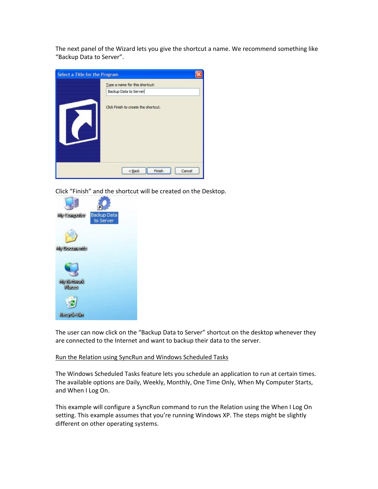The next panel of the Wizard lets you give the shortcut a name. We recommend something like "Backup Data to Server".

| Select a Title for the Program         |                                      |
|----------------------------------------|--------------------------------------|
| <b>MMMMMMMMMMMMMMMMMMM</b>             | Type a name for this shortcut:       |
| mon                                    | Backup Data to Server                |
| maxxx<br><b>Michigan Management MM</b> | Click Finish to create the shortcut. |
|                                        | Finish<br>Cancel<br>< Back           |

Click "Finish" and the shortcut will be created on the Desktop.



The user can now click on the "Backup Data to Server" shortcut on the desktop whenever they are connected to the Internet and want to backup their data to the server.

#### Run the Relation using SyncRun and Windows Scheduled Tasks

The Windows Scheduled Tasks feature lets you schedule an application to run at certain times. The available options are Daily, Weekly, Monthly, One Time Only, When My Computer Starts, and When I Log On.

This example will configure a SyncRun command to run the Relation using the When I Log On setting. This example assumes that you're running Windows XP. The steps might be slightly different on other operating systems.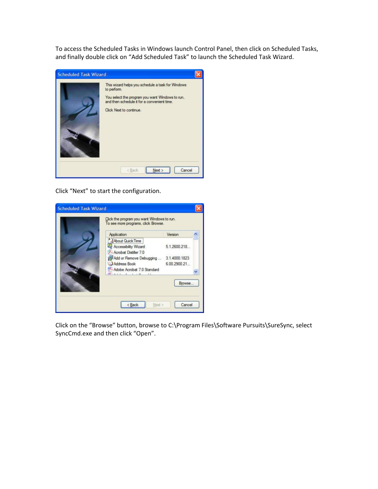To access the Scheduled Tasks in Windows launch Control Panel, then click on Scheduled Tasks, and finally double click on "Add Scheduled Task" to launch the Scheduled Task Wizard.

| <b>Scheduled Task Wizard</b> |                                                                                                                                                                                               |  |
|------------------------------|-----------------------------------------------------------------------------------------------------------------------------------------------------------------------------------------------|--|
|                              | This wizard helps you schedule a task for Windows<br>to perform.<br>You select the program you want Windows to run,<br>and then schedule it for a convenient time.<br>Click Next to continue. |  |
|                              | Cancel<br>Next ><br>< Back                                                                                                                                                                    |  |

Click "Next" to start the configuration.

| 5.1.2600.218                                            |
|---------------------------------------------------------|
| Add or Remove Debugging  3.1.4000.1823<br>6.00.2900.21. |
|                                                         |

Click on the "Browse" button, browse to C:\Program Files\Software Pursuits\SureSync, select SyncCmd.exe and then click "Open".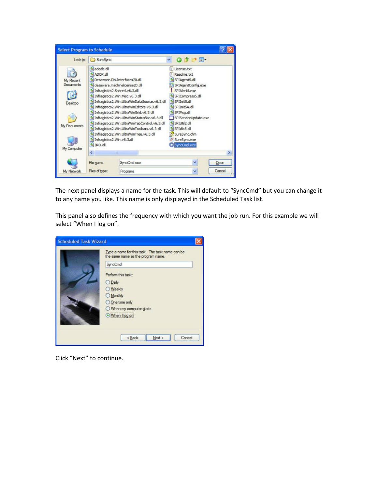

The next panel displays a name for the task. This will default to "SyncCmd" but you can change it to any name you like. This name is only displayed in the Scheduled Task list.

This panel also defines the frequency with which you want the job run. For this example we will select "When I log on".



Click "Next" to continue.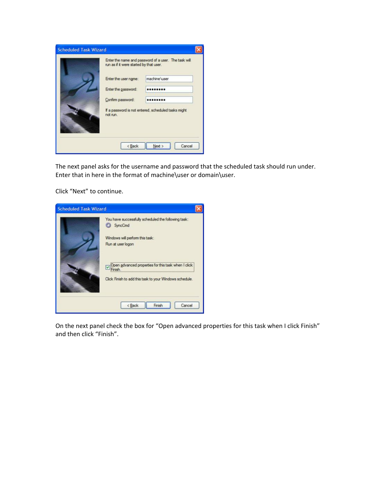| run as if it were started by that user. | Enter the name and password of a user. The task will |
|-----------------------------------------|------------------------------------------------------|
| Enter the user name:                    | machine user                                         |
| Enter the password:                     |                                                      |
| Confirm password:                       |                                                      |
| not run.                                | If a password is not entered, scheduled tasks might  |

The next panel asks for the username and password that the scheduled task should run under. Enter that in here in the format of machine\user or domain\user.

Click "Next" to continue.

| <b>Scheduled Task Wizard</b> |                                                                                                                                                                                                                                          |
|------------------------------|------------------------------------------------------------------------------------------------------------------------------------------------------------------------------------------------------------------------------------------|
|                              | You have successfully scheduled the following task:<br>SyncCmd<br>Windows will perform this task:<br>Run at user logon<br>Open advanced properties for this task when I click<br>Click Finish to add this task to your Windows schedule. |
|                              | Finish<br>Cancel<br>< Back                                                                                                                                                                                                               |

On the next panel check the box for "Open advanced properties for this task when I click Finish" and then click "Finish".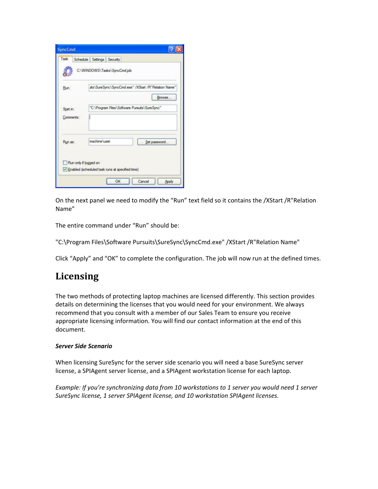<span id="page-15-0"></span>

|           | C:\WINDOWS\Tasks\SyncCmd.job                                             |
|-----------|--------------------------------------------------------------------------|
| Run:      | uits\SureSync\SyncCmd.exe" /XStart /R"Relation Name"                     |
|           | Browse                                                                   |
| Start in: | "C:\Program Files\Software Pursuits\SureSync"                            |
| Comments: |                                                                          |
| Run as:   | machine user<br>Set password                                             |
|           |                                                                          |
|           | Run only if logged on<br>Enabled (scheduled task runs at specified time) |

On the next panel we need to modify the "Run" text field so it contains the /XStart /R"Relation Name"

The entire command under "Run" should be:

"C:\Program Files\Software Pursuits\SureSync\SyncCmd.exe" /XStart /R"Relation Name"

Click "Apply" and "OK" to complete the configuration. The job will now run at the defined times.

# **Licensing**

The two methods of protecting laptop machines are licensed differently. This section provides details on determining the licenses that you would need for your environment. We always recommend that you consult with a member of our Sales Team to ensure you receive appropriate licensing information. You will find our contact information at the end of this document.

## *Server Side Scenario*

When licensing SureSync for the server side scenario you will need a base SureSync server license, a SPIAgent server license, and a SPIAgent workstation license for each laptop.

*Example: If you're synchronizing data from 10 workstations to 1 server you would need 1 server SureSync license, 1 server SPIAgent license, and 10 workstation SPIAgent licenses.*